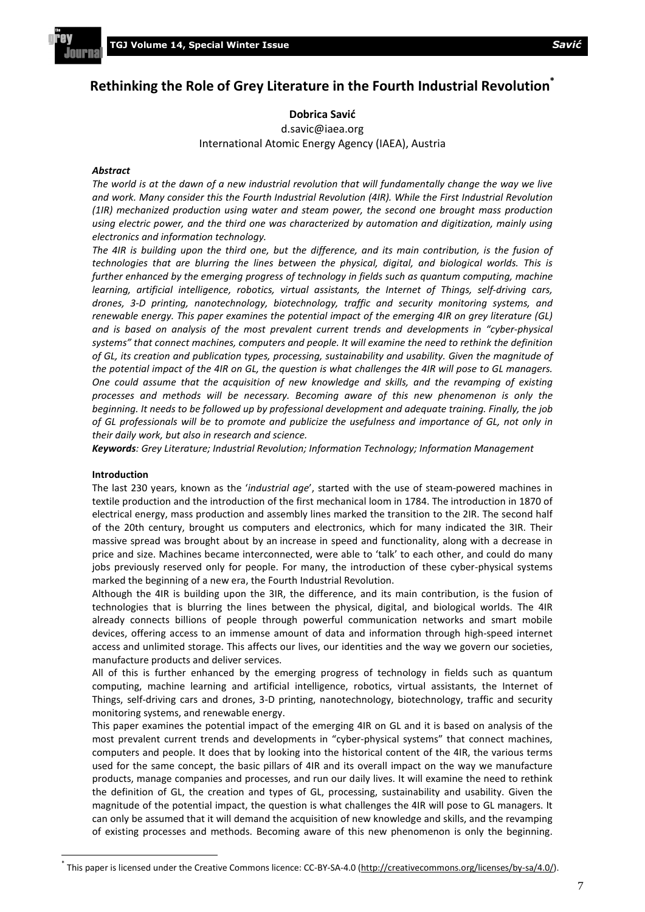# **Rethinking the Role of Grey Literature in the Fourth Industrial Revolution\***

**Dobrica Savić**

d.savic@iaea.org International Atomic Energy Agency (IAEA), Austria

#### *Abstract*

*The world is at the dawn of a new industrial revolution that will fundamentally change the way we live and work. Many consider this the Fourth Industrial Revolution (4IR). While the First Industrial Revolution (1IR) mechanized production using water and steam power, the second one brought mass production using electric power, and the third one was characterized by automation and digitization, mainly using electronics and information technology.*

*The 4IR is building upon the third one, but the difference, and its main contribution, is the fusion of technologies that are blurring the lines between the physical, digital, and biological worlds. This is further enhanced by the emerging progress of technology in fields such as quantum computing, machine learning, artificial intelligence, robotics, virtual assistants, the Internet of Things, self-driving cars, drones, 3-D printing, nanotechnology, biotechnology, traffic and security monitoring systems, and renewable energy. This paper examines the potential impact of the emerging 4IR on grey literature (GL) and is based on analysis of the most prevalent current trends and developments in "cyber-physical systems" that connect machines, computers and people. It will examine the need to rethink the definition of GL, its creation and publication types, processing, sustainability and usability. Given the magnitude of the potential impact of the 4IR on GL, the question is what challenges the 4IR will pose to GL managers. One could assume that the acquisition of new knowledge and skills, and the revamping of existing processes and methods will be necessary. Becoming aware of this new phenomenon is only the beginning. It needs to be followed up by professional development and adequate training. Finally, the job of GL professionals will be to promote and publicize the usefulness and importance of GL, not only in their daily work, but also in research and science.*

*Keywords: Grey Literature; Industrial Revolution; Information Technology; Information Management*

## **Introduction**

The last 230 years, known as the '*industrial age*', started with the use of steam-powered machines in textile production and the introduction of the first mechanical loom in 1784. The introduction in 1870 of electrical energy, mass production and assembly lines marked the transition to the 2IR. The second half of the 20th century, brought us computers and electronics, which for many indicated the 3IR. Their massive spread was brought about by an increase in speed and functionality, along with a decrease in price and size. Machines became interconnected, were able to 'talk' to each other, and could do many jobs previously reserved only for people. For many, the introduction of these cyber-physical systems marked the beginning of a new era, the Fourth Industrial Revolution.

Although the 4IR is building upon the 3IR, the difference, and its main contribution, is the fusion of technologies that is blurring the lines between the physical, digital, and biological worlds. The 4IR already connects billions of people through powerful communication networks and smart mobile devices, offering access to an immense amount of data and information through high-speed internet access and unlimited storage. This affects our lives, our identities and the way we govern our societies, manufacture products and deliver services.

All of this is further enhanced by the emerging progress of technology in fields such as quantum computing, machine learning and artificial intelligence, robotics, virtual assistants, the Internet of Things, self-driving cars and drones, 3-D printing, nanotechnology, biotechnology, traffic and security monitoring systems, and renewable energy.

This paper examines the potential impact of the emerging 4IR on GL and it is based on analysis of the most prevalent current trends and developments in "cyber-physical systems" that connect machines, computers and people. It does that by looking into the historical content of the 4IR, the various terms used for the same concept, the basic pillars of 4IR and its overall impact on the way we manufacture products, manage companies and processes, and run our daily lives. It will examine the need to rethink the definition of GL, the creation and types of GL, processing, sustainability and usability. Given the magnitude of the potential impact, the question is what challenges the 4IR will pose to GL managers. It can only be assumed that it will demand the acquisition of new knowledge and skills, and the revamping of existing processes and methods. Becoming aware of this new phenomenon is only the beginning.

<sup>\*</sup> This paper is licensed under the Creative Commons licence: CC-BY-SA-4.0 (http://creativecommons.org/licenses/by-sa/4.0/).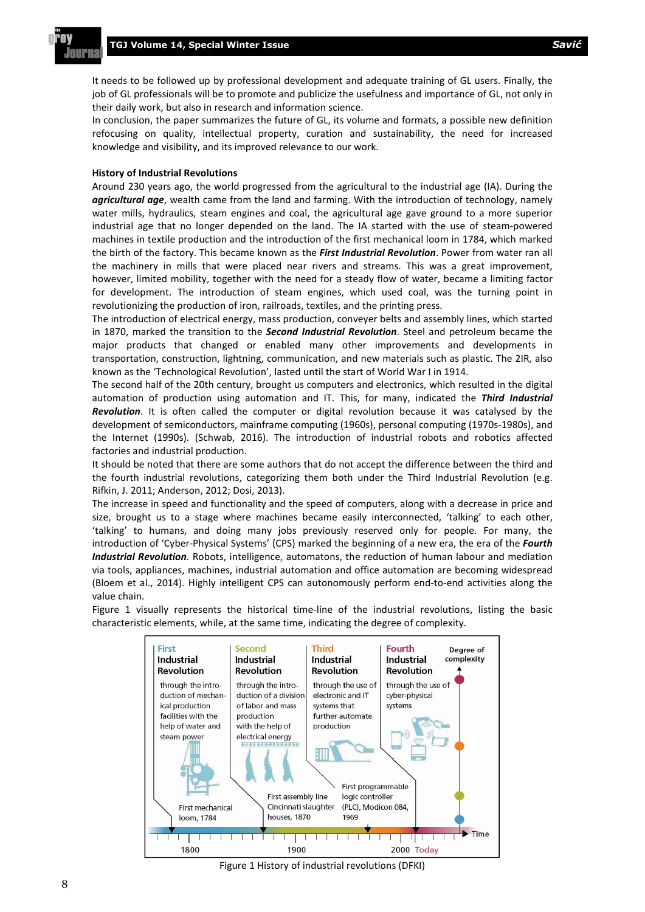It needs to be followed up by professional development and adequate training of GL users. Finally, the job of GL professionals will be to promote and publicize the usefulness and importance of GL, not only in their daily work, but also in research and information science.

In conclusion, the paper summarizes the future of GL, its volume and formats, a possible new definition refocusing on quality, intellectual property, curation and sustainability, the need for increased knowledge and visibility, and its improved relevance to our work.

#### **History of Industrial Revolutions**

Around 230 years ago, the world progressed from the agricultural to the industrial age (IA). During the *agricultural age*, wealth came from the land and farming. With the introduction of technology, namely water mills, hydraulics, steam engines and coal, the agricultural age gave ground to a more superior industrial age that no longer depended on the land. The IA started with the use of steam-powered machines in textile production and the introduction of the first mechanical loom in 1784, which marked the birth of the factory. This became known as the *First Industrial Revolution*. Power from water ran all the machinery in mills that were placed near rivers and streams. This was a great improvement, however, limited mobility, together with the need for a steady flow of water, became a limiting factor for development. The introduction of steam engines, which used coal, was the turning point in revolutionizing the production of iron, railroads, textiles, and the printing press.

The introduction of electrical energy, mass production, conveyer belts and assembly lines, which started in 1870, marked the transition to the *Second Industrial Revolution*. Steel and petroleum became the major products that changed or enabled many other improvements and developments in transportation, construction, lightning, communication, and new materials such as plastic. The 2IR, also known as the 'Technological Revolution', lasted until the start of World War I in 1914.

The second half of the 20th century, brought us computers and electronics, which resulted in the digital automation of production using automation and IT. This, for many, indicated the *Third Industrial Revolution*. It is often called the computer or digital revolution because it was catalysed by the development of semiconductors, mainframe computing (1960s), personal computing (1970s-1980s), and the Internet (1990s). (Schwab, 2016). The introduction of industrial robots and robotics affected factories and industrial production.

It should be noted that there are some authors that do not accept the difference between the third and the fourth industrial revolutions, categorizing them both under the Third Industrial Revolution (e.g. Rifkin, J. 2011; Anderson, 2012; Dosi, 2013).

The increase in speed and functionality and the speed of computers, along with a decrease in price and size, brought us to a stage where machines became easily interconnected, 'talking' to each other, 'talking' to humans, and doing many jobs previously reserved only for people. For many, the introduction of 'Cyber-Physical Systems' (CPS) marked the beginning of a new era, the era of the *Fourth Industrial Revolution*. Robots, intelligence, automatons, the reduction of human labour and mediation via tools, appliances, machines, industrial automation and office automation are becoming widespread (Bloem et al., 2014). Highly intelligent CPS can autonomously perform end-to-end activities along the value chain.

Figure 1 visually represents the historical time-line of the industrial revolutions, listing the basic characteristic elements, while, at the same time, indicating the degree of complexity.



Figure 1 History of industrial revolutions (DFKI)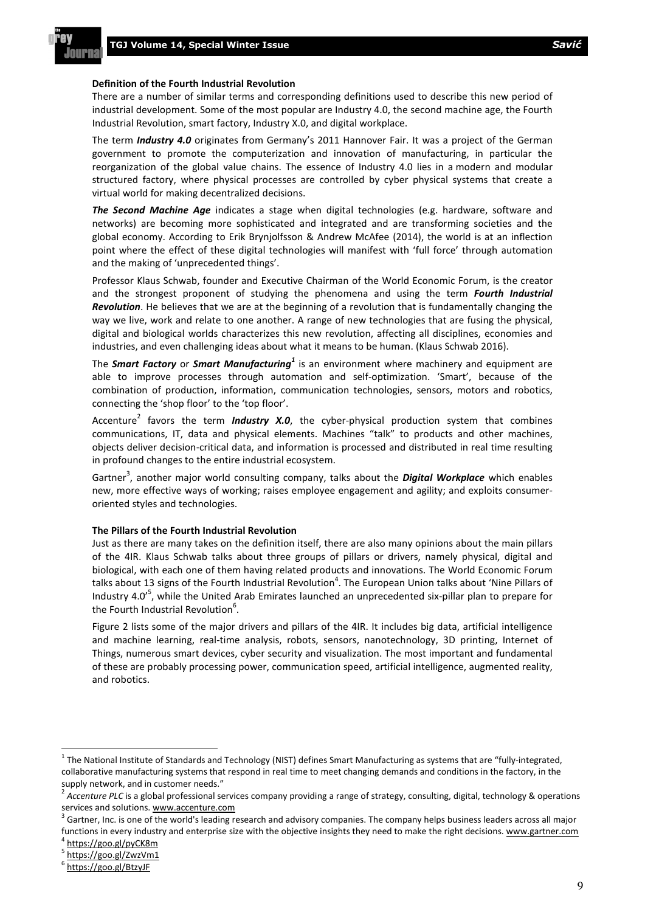#### **Definition of the Fourth Industrial Revolution**

There are a number of similar terms and corresponding definitions used to describe this new period of industrial development. Some of the most popular are Industry 4.0, the second machine age, the Fourth Industrial Revolution, smart factory, Industry X.0, and digital workplace.

The term *Industry 4.0* originates from Germany's 2011 Hannover Fair. It was a project of the German government to promote the computerization and innovation of manufacturing, in particular the reorganization of the global value chains. The essence of Industry 4.0 lies in a modern and modular structured factory, where physical processes are controlled by cyber physical systems that create a virtual world for making decentralized decisions.

*The Second Machine Age* indicates a stage when digital technologies (e.g. hardware, software and networks) are becoming more sophisticated and integrated and are transforming societies and the global economy. According to Erik Brynjolfsson & Andrew McAfee (2014), the world is at an inflection point where the effect of these digital technologies will manifest with 'full force' through automation and the making of 'unprecedented things'.

Professor Klaus Schwab, founder and Executive Chairman of the World Economic Forum, is the creator and the strongest proponent of studying the phenomena and using the term *Fourth Industrial Revolution*. He believes that we are at the beginning of a revolution that is fundamentally changing the way we live, work and relate to one another. A range of new technologies that are fusing the physical, digital and biological worlds characterizes this new revolution, affecting all disciplines, economies and industries, and even challenging ideas about what it means to be human. (Klaus Schwab 2016).

The *Smart Factory* or *Smart Manufacturing<sup>1</sup>* is an environment where machinery and equipment are able to improve processes through automation and self-optimization. 'Smart', because of the combination of production, information, communication technologies, sensors, motors and robotics, connecting the 'shop floor' to the 'top floor'.

Accenture<sup>2</sup> favors the term *Industry X.0*, the cyber-physical production system that combines communications, IT, data and physical elements. Machines "talk" to products and other machines, objects deliver decision-critical data, and information is processed and distributed in real time resulting in profound changes to the entire industrial ecosystem.

Gartner<sup>3</sup>, another major world consulting company, talks about the **Digital Workplace** which enables new, more effective ways of working; raises employee engagement and agility; and exploits consumeroriented styles and technologies.

#### **The Pillars of the Fourth Industrial Revolution**

Just as there are many takes on the definition itself, there are also many opinions about the main pillars of the 4IR. Klaus Schwab talks about three groups of pillars or drivers, namely physical, digital and biological, with each one of them having related products and innovations. The World Economic Forum talks about 13 signs of the Fourth Industrial Revolution<sup>4</sup>. The European Union talks about 'Nine Pillars of Industry 4.0<sup>'5</sup>, while the United Arab Emirates launched an unprecedented six-pillar plan to prepare for the Fourth Industrial Revolution<sup>6</sup>.

Figure 2 lists some of the major drivers and pillars of the 4IR. It includes big data, artificial intelligence and machine learning, real-time analysis, robots, sensors, nanotechnology, 3D printing, Internet of Things, numerous smart devices, cyber security and visualization. The most important and fundamental of these are probably processing power, communication speed, artificial intelligence, augmented reality, and robotics.

 $^1$  The National Institute of Standards and Technology (NIST) defines Smart Manufacturing as systems that are "fully-integrated, collaborative manufacturing systems that respond in real time to meet changing demands and conditions in the factory, in the supply network, and in customer needs."

<sup>&</sup>lt;sup>2</sup> Accenture PLC is a global professional services company providing a range of strategy, consulting, digital, technology & operations services and solutions. www.accenture.com

 $^3$  Gartner, Inc. is one of the world's leading research and advisory companies. The company helps business leaders across all major functions in every industry and enterprise size with the objective insights they need to make the right decisions. www.gartner.com

<sup>4</sup> https://goo.gl/pyCK8m 5

https://goo.gl/ZwzVm1

<sup>6</sup> https://goo.gl/BtzyJF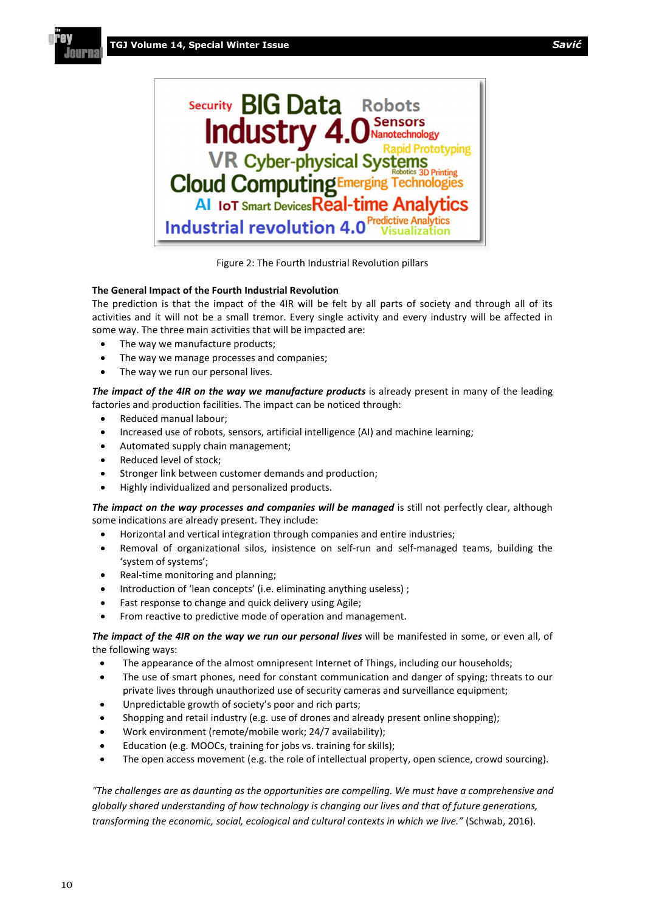

Figure 2: The Fourth Industrial Revolution pillars

## **The General Impact of the Fourth Industrial Revolution**

The prediction is that the impact of the 4IR will be felt by all parts of society and through all of its activities and it will not be a small tremor. Every single activity and every industry will be affected in some way. The three main activities that will be impacted are:

- The way we manufacture products;
- The way we manage processes and companies;
- The way we run our personal lives.

The impact of the 4IR on the way we manufacture products is already present in many of the leading factories and production facilities. The impact can be noticed through:

- Reduced manual labour;
- Increased use of robots, sensors, artificial intelligence (AI) and machine learning;
- Automated supply chain management;
- Reduced level of stock;
- Stronger link between customer demands and production;
- Highly individualized and personalized products.

*The impact on the way processes and companies will be managed* is still not perfectly clear, although some indications are already present. They include:

- Horizontal and vertical integration through companies and entire industries;
- Removal of organizational silos, insistence on self-run and self-managed teams, building the 'system of systems';
- Real-time monitoring and planning;
- Introduction of 'lean concepts' (i.e. eliminating anything useless) ;
- Fast response to change and quick delivery using Agile;
- From reactive to predictive mode of operation and management.

*The impact of the 4IR on the way we run our personal lives* will be manifested in some, or even all, of the following ways:

- The appearance of the almost omnipresent Internet of Things, including our households;
- The use of smart phones, need for constant communication and danger of spying; threats to our private lives through unauthorized use of security cameras and surveillance equipment;
- Unpredictable growth of society's poor and rich parts;
- Shopping and retail industry (e.g. use of drones and already present online shopping);
- Work environment (remote/mobile work; 24/7 availability);
- Education (e.g. MOOCs, training for jobs vs. training for skills);
- The open access movement (e.g. the role of intellectual property, open science, crowd sourcing).

*"The challenges are as daunting as the opportunities are compelling. We must have a comprehensive and globally shared understanding of how technology is changing our lives and that of future generations, transforming the economic, social, ecological and cultural contexts in which we live."* (Schwab, 2016).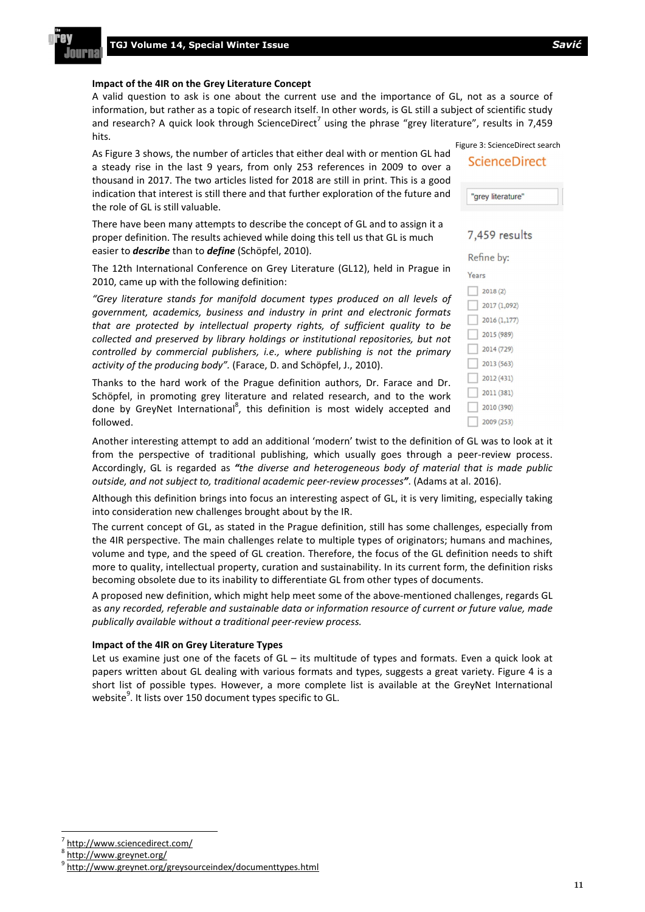#### **Impact of the 4IR on the Grey Literature Concept**

A valid question to ask is one about the current use and the importance of GL, not as a source of information, but rather as a topic of research itself. In other words, is GL still a subject of scientific study and research? A quick look through ScienceDirect<sup>7</sup> using the phrase "grey literature", results in 7,459 hits.

As Figure 3 shows, the number of articles that either deal with or mention GL had a steady rise in the last 9 years, from only 253 references in 2009 to over a thousand in 2017. The two articles listed for 2018 are still in print. This is a good indication that interest is still there and that further exploration of the future and the role of GL is still valuable.

There have been many attempts to describe the concept of GL and to assign it a proper definition. The results achieved while doing this tell us that GL is much easier to *describe* than to *define* (Schöpfel, 2010).

The 12th International Conference on Grey Literature (GL12), held in Prague in 2010, came up with the following definition:

*"Grey literature stands for manifold document types produced on all levels of government, academics, business and industry in print and electronic formats that are protected by intellectual property rights, of sufficient quality to be collected and preserved by library holdings or institutional repositories, but not controlled by commercial publishers, i.e., where publishing is not the primary activity of the producing body".* (Farace, D. and Schöpfel, J., 2010).

Thanks to the hard work of the Prague definition authors, Dr. Farace and Dr. Schöpfel, in promoting grey literature and related research, and to the work done by GreyNet International<sup>8</sup>, this definition is most widely accepted and followed.

Another interesting attempt to add an additional 'modern' twist to the definition of GL was to look at it from the perspective of traditional publishing, which usually goes through a peer-review process. Accordingly, GL is regarded as *"the diverse and heterogeneous body of material that is made public outside, and not subject to, traditional academic peer-review processes"*. (Adams at al. 2016).

Although this definition brings into focus an interesting aspect of GL, it is very limiting, especially taking into consideration new challenges brought about by the IR.

The current concept of GL, as stated in the Prague definition, still has some challenges, especially from the 4IR perspective. The main challenges relate to multiple types of originators; humans and machines, volume and type, and the speed of GL creation. Therefore, the focus of the GL definition needs to shift more to quality, intellectual property, curation and sustainability. In its current form, the definition risks becoming obsolete due to its inability to differentiate GL from other types of documents.

A proposed new definition, which might help meet some of the above-mentioned challenges, regards GL as *any recorded, referable and sustainable data or information resource of current or future value, made publically available without a traditional peer-review process.*

#### **Impact of the 4IR on Grey Literature Types**

Let us examine just one of the facets of GL – its multitude of types and formats. Even a quick look at papers written about GL dealing with various formats and types, suggests a great variety. Figure 4 is a short list of possible types. However, a more complete list is available at the GreyNet International website $^9$ . It lists over 150 document types specific to GL.

Figure 3: ScienceDirect search



"grey literature"

## 7,459 results

| Refine by:   |  |  |  |  |
|--------------|--|--|--|--|
| Years        |  |  |  |  |
| 2018(2)      |  |  |  |  |
| 2017 (1,092) |  |  |  |  |
| 2016 (1,177) |  |  |  |  |
| 2015 (989)   |  |  |  |  |
| 2014 (729)   |  |  |  |  |
| 2013 (563)   |  |  |  |  |
| 2012 (431)   |  |  |  |  |
| 2011 (381)   |  |  |  |  |
| 2010 (390)   |  |  |  |  |
| 2009 (253)   |  |  |  |  |

<sup>7</sup> http://www.sciencedirect.com/

<sup>8</sup> http://www.greynet.org/

<sup>9</sup> http://www.greynet.org/greysourceindex/documenttypes.html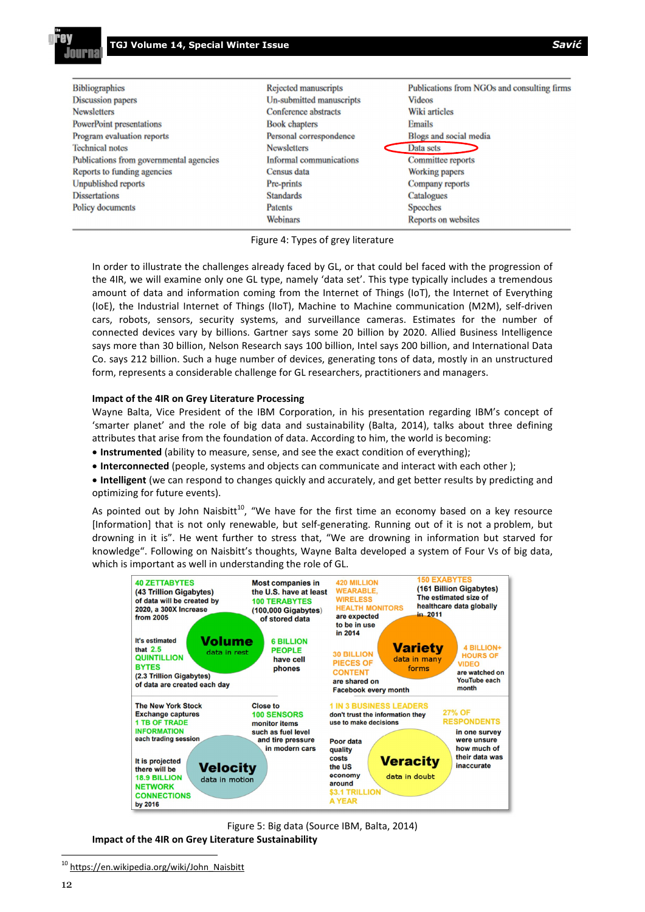#### **TGJ Volume 14, Special Winter Issue** *Savić*

| <b>Bibliographics</b>                   | Rejected manuscripts     | Publications from NGOs and consulting firms |
|-----------------------------------------|--------------------------|---------------------------------------------|
| <b>Discussion papers</b>                | Un-submitted manuscripts | <b>Videos</b>                               |
| <b>Newsletters</b>                      | Conference abstracts     | Wiki articles                               |
| PowerPoint presentations                | <b>Book chapters</b>     | <b>Emails</b>                               |
| Program evaluation reports              | Personal correspondence  | Blogs and social media                      |
| <b>Technical notes</b>                  | <b>Newsletters</b>       | Data sets                                   |
| Publications from governmental agencies | Informal communications  | Committee reports                           |
| Reports to funding agencies             | Census data              | Working papers                              |
| Unpublished reports                     | Pre-prints               | Company reports                             |
| <b>Dissertations</b>                    | <b>Standards</b>         | Catalogues                                  |
| Policy documents                        | Patents                  | <b>Speeches</b>                             |
|                                         | Webinars                 | Reports on websites                         |

Figure 4: Types of grey literature

In order to illustrate the challenges already faced by GL, or that could bel faced with the progression of the 4IR, we will examine only one GL type, namely 'data set'. This type typically includes a tremendous amount of data and information coming from the Internet of Things (IoT), the Internet of Everything (IoE), the Industrial Internet of Things (IIoT), Machine to Machine communication (M2M), self-driven cars, robots, sensors, security systems, and surveillance cameras. Estimates for the number of connected devices vary by billions. Gartner says some 20 billion by 2020. Allied Business Intelligence says more than 30 billion, Nelson Research says 100 billion, Intel says 200 billion, and International Data Co. says 212 billion. Such a huge number of devices, generating tons of data, mostly in an unstructured form, represents a considerable challenge for GL researchers, practitioners and managers.

## **Impact of the 4IR on Grey Literature Processing**

Wayne Balta, Vice President of the IBM Corporation, in his presentation regarding IBM's concept of 'smarter planet' and the role of big data and sustainability (Balta, 2014), talks about three defining attributes that arise from the foundation of data. According to him, the world is becoming:

- **Instrumented** (ability to measure, sense, and see the exact condition of everything);
- **Interconnected** (people, systems and objects can communicate and interact with each other );

 **Intelligent** (we can respond to changes quickly and accurately, and get better results by predicting and optimizing for future events).

As pointed out by John Naisbitt<sup>10</sup>, "We have for the first time an economy based on a key resource [Information] that is not only renewable, but self-generating. Running out of it is not a problem, but drowning in it is". He went further to stress that, "We are drowning in information but starved for knowledge". Following on Naisbitt's thoughts, Wayne Balta developed a system of Four Vs of big data, which is important as well in understanding the role of GL.



Figure 5: Big data (Source IBM, Balta, 2014)

**Impact of the 4IR on Grey Literature Sustainability**

<sup>&</sup>lt;sup>10</sup> https://en.wikipedia.org/wiki/John\_Naisbitt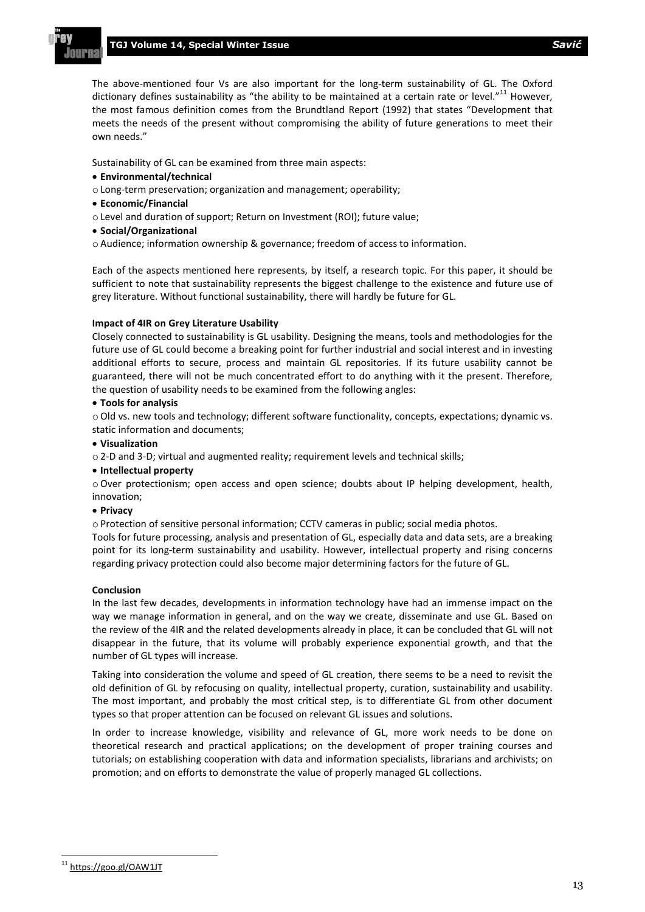#### **TGJ Volume 14, Special Winter Issue** *Savić*

The above-mentioned four Vs are also important for the long-term sustainability of GL. The Oxford dictionary defines sustainability as "the ability to be maintained at a certain rate or level."<sup>11</sup> However, the most famous definition comes from the Brundtland Report (1992) that states "Development that meets the needs of the present without compromising the ability of future generations to meet their own needs."

Sustainability of GL can be examined from three main aspects:

- **Environmental/technical**
- o Long-term preservation; organization and management; operability;
- **Economic/Financial**
- o Level and duration of support; Return on Investment (ROI); future value;
- **Social/Organizational**
- o Audience; information ownership & governance; freedom of access to information.

Each of the aspects mentioned here represents, by itself, a research topic. For this paper, it should be sufficient to note that sustainability represents the biggest challenge to the existence and future use of grey literature. Without functional sustainability, there will hardly be future for GL.

## **Impact of 4IR on Grey Literature Usability**

Closely connected to sustainability is GL usability. Designing the means, tools and methodologies for the future use of GL could become a breaking point for further industrial and social interest and in investing additional efforts to secure, process and maintain GL repositories. If its future usability cannot be guaranteed, there will not be much concentrated effort to do anything with it the present. Therefore, the question of usability needs to be examined from the following angles:

## **Tools for analysis**

o Old vs. new tools and technology; different software functionality, concepts, expectations; dynamic vs. static information and documents;

- **Visualization**
- o 2-D and 3-D; virtual and augmented reality; requirement levels and technical skills;

#### **Intellectual property**

o Over protectionism; open access and open science; doubts about IP helping development, health, innovation;

#### **Privacy**

o Protection of sensitive personal information; CCTV cameras in public; social media photos.

Tools for future processing, analysis and presentation of GL, especially data and data sets, are a breaking point for its long-term sustainability and usability. However, intellectual property and rising concerns regarding privacy protection could also become major determining factors for the future of GL.

## **Conclusion**

In the last few decades, developments in information technology have had an immense impact on the way we manage information in general, and on the way we create, disseminate and use GL. Based on the review of the 4IR and the related developments already in place, it can be concluded that GL will not disappear in the future, that its volume will probably experience exponential growth, and that the number of GL types will increase.

Taking into consideration the volume and speed of GL creation, there seems to be a need to revisit the old definition of GL by refocusing on quality, intellectual property, curation, sustainability and usability. The most important, and probably the most critical step, is to differentiate GL from other document types so that proper attention can be focused on relevant GL issues and solutions.

In order to increase knowledge, visibility and relevance of GL, more work needs to be done on theoretical research and practical applications; on the development of proper training courses and tutorials; on establishing cooperation with data and information specialists, librarians and archivists; on promotion; and on efforts to demonstrate the value of properly managed GL collections.

<sup>&</sup>lt;sup>11</sup> https://goo.gl/OAW1JT